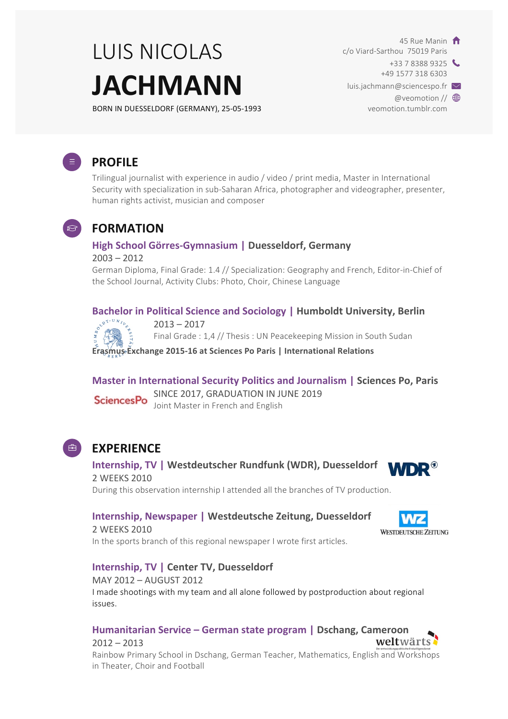# LUIS NICOLAS **JACHMANN**

BORN IN DUESSELDORF (GERMANY), 25-05-1993

45 Rue Manin  $\hat{\mathsf{n}}$ c/o Viard-Sarthou 75019 Paris  $+33$  7 8388 9325 +49 1577 318 6303 luis.jachmann@sciencespo.fr  $\vee$ 

@veomotion // **<sup>@</sup>** veomotion.tumblr.com

**WESTDEUTSCHE ZEITUNG** 

weltwärts



## **PROFILE**

Trilingual journalist with experience in audio / video / print media, Master in International Security with specialization in sub-Saharan Africa, photographer and videographer, presenter, human rights activist, musician and composer



### **FORMATION**

#### **High School Görres-Gymnasium | Duesseldorf, Germany**

#### 2003 – 2012

German Diploma, Final Grade: 1.4 // Specialization: Geography and French, Editor-in-Chief of the School Journal, Activity Clubs: Photo, Choir, Chinese Language

# **Bachelor in Political Science and Sociology | Humboldt University, Berlin**<br>  $\int_{\mathbb{R}^{9^{3+|U|N/2}\xi}}$  2013 – 2017



 $2013 - 2017$ 

Final Grade : 1,4 // Thesis : UN Peacekeeping Mission in South Sudan

**Erasmus Exchange 2015-16 at Sciences Po Paris | International Relations** 

**Master in International Security Politics and Journalism | Sciences Po, Paris** SINCE 2017, GRADUATION IN JUNE 2019 Joint Master in French and English



### **EXPERIENCE**

**Internship, TV | Westdeutscher Rundfunk (WDR), Duesseldorf WDR®** 2 WEEKS 2010 During this observation internship I attended all the branches of TV production.

#### **Internship, Newspaper | Westdeutsche Zeitung, Duesseldorf**

2 WEEKS 2010 In the sports branch of this regional newspaper I wrote first articles.



MAY 2012 - AUGUST 2012 I made shootings with my team and all alone followed by postproduction about regional issues.

#### **Humanitarian Service – German state program | Dschang, Cameroon**

 $2012 - 2013$ Rainbow Primary School in Dschang, German Teacher, Mathematics, English and Workshops in Theater, Choir and Football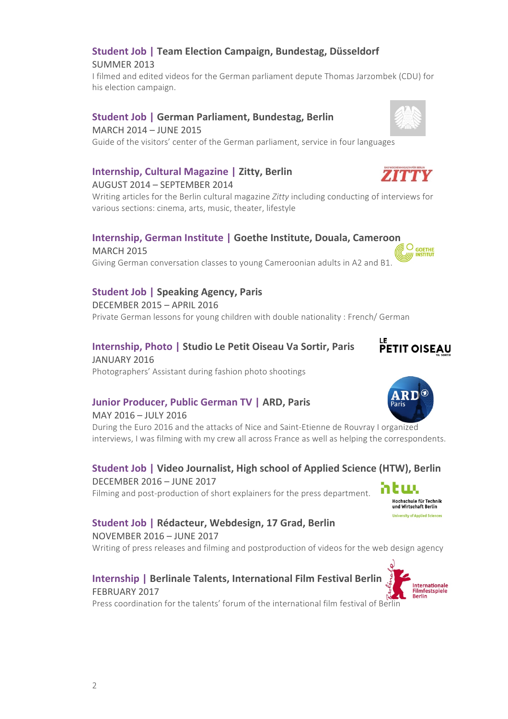# **Student Job | Team Election Campaign, Bundestag, Düsseldorf**

SUMMER 2013

I filmed and edited videos for the German parliament depute Thomas Jarzombek (CDU) for his election campaign.

#### **Student Job | German Parliament, Bundestag, Berlin**

MARCH 2014 – JUNE 2015 Guide of the visitors' center of the German parliament, service in four languages

#### **Internship, Cultural Magazine | Zitty, Berlin**

#### AUGUST 2014 – SEPTEMBER 2014

Writing articles for the Berlin cultural magazine *Zitty* including conducting of interviews for various sections: cinema, arts, music, theater, lifestyle

#### **Internship, German Institute | Goethe Institute, Douala, Cameroon**

MARCH 2015 Giving German conversation classes to young Cameroonian adults in A2 and B1.

#### **Student Job | Speaking Agency, Paris**

DECEMBER 2015 - APRIL 2016 Private German lessons for young children with double nationality : French/ German

#### **Internship, Photo** | Studio Le Petit Oiseau Va Sortir, Paris

JANUARY 2016 Photographers' Assistant during fashion photo shootings

#### **Junior Producer, Public German TV | ARD, Paris**

MAY 2016 - JULY 2016 During the Euro 2016 and the attacks of Nice and Saint-Etienne de Rouvray I organized interviews, I was filming with my crew all across France as well as helping the correspondents.

#### **Student Job | Video Journalist, High school of Applied Science (HTW), Berlin** DECEMBER 2016 – JUNE 2017 հեա

Filming and post-production of short explainers for the press department.

#### **Student Job | Rédacteur, Webdesign, 17 Grad, Berlin**

NOVEMBER 2016 – JUNE 2017 Writing of press releases and filming and postproduction of videos for the web design agency

#### **Internship | Berlinale Talents, International Film Festival Berlin** FEBRUARY 2017

Press coordination for the talents' forum of the international film festival of Berlin





**ZITTV** 



Hochschule für Technik<br>und Wirtschaft Berlin rsity of Applied Sciences



 $O_{\text{GOETHE}}$